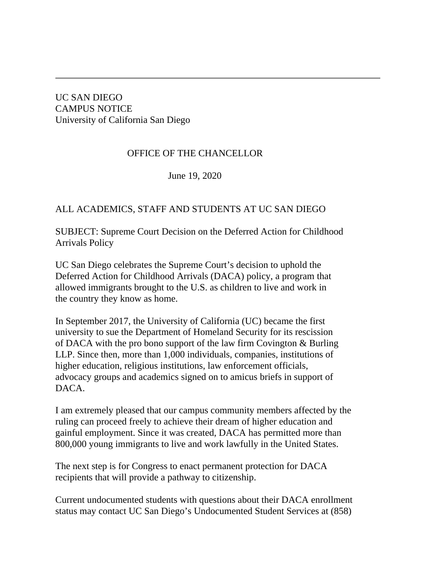UC SAN DIEGO CAMPUS NOTICE University of California San Diego

## OFFICE OF THE CHANCELLOR

June 19, 2020

## ALL ACADEMICS, STAFF AND STUDENTS AT UC SAN DIEGO

SUBJECT: Supreme Court Decision on the Deferred Action for Childhood Arrivals Policy

UC San Diego celebrates the Supreme Court's decision to uphold the Deferred Action for Childhood Arrivals (DACA) policy, a program that allowed immigrants brought to the U.S. as children to live and work in the country they know as home.

In September 2017, the University of California (UC) became the first university to sue the Department of Homeland Security for its rescission of DACA with the pro bono support of the law firm Covington & Burling LLP. Since then, more than 1,000 individuals, companies, institutions of higher education, religious institutions, law enforcement officials, advocacy groups and academics signed on to amicus briefs in support of DACA.

I am extremely pleased that our campus community members affected by the ruling can proceed freely to achieve their dream of higher education and gainful employment. Since it was created, DACA has permitted more than 800,000 young immigrants to live and work lawfully in the United States.

The next step is for Congress to enact permanent protection for DACA recipients that will provide a pathway to citizenship.

Current undocumented students with questions about their DACA enrollment status may contact UC San Diego's Undocumented Student Services at (858)